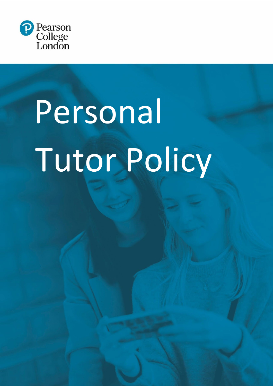

# Personal Tutor Policy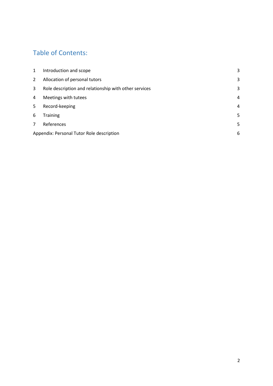#### Table of Contents:

| 1 | Introduction and scope                                | 3 |  |
|---|-------------------------------------------------------|---|--|
| 2 | Allocation of personal tutors                         | 3 |  |
| 3 | Role description and relationship with other services | 3 |  |
| 4 | Meetings with tutees                                  | 4 |  |
| 5 | Record-keeping                                        | 4 |  |
| 6 | <b>Training</b>                                       | 5 |  |
| 7 | References                                            | 5 |  |
|   | 6<br>Appendix: Personal Tutor Role description        |   |  |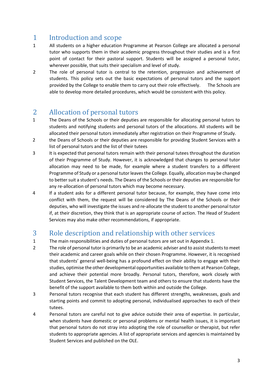## <span id="page-2-0"></span>1 Introduction and scope<br>1 All students on a higher education

- All students on a higher education Programme at Pearson College are allocated a personal tutor who supports them in their academic progress throughout their studies and is a first point of contact for their pastoral support. Students will be assigned a personal tutor, wherever possible, that suits their specialism and level of study.
- 2 The role of personal tutor is central to the retention, progression and achievement of students. This policy sets out the basic expectations of personal tutors and the support provided by the College to enable them to carry out their role effectively. The Schools are able to develop more detailed procedures, which would be consistent with this policy.

### <span id="page-2-1"></span>2 Allocation of personal tutors<br>1 The Deans of the Schools or their deputies

- The Deans of the Schools or their deputies are responsible for allocating personal tutors to students and notifying students and personal tutors of the allocations. All students will be allocated their personal tutors immediately after registration on their Programme of Study.
- 2 the Deans of Schools or their deputies are responsible for providing Student Services with a list of personal tutors and the list of their tutees
- 3 It is expected that personal tutors remain with their personal tutees throughout the duration of their Programme of Study. However, it is acknowledged that changes to personal tutor allocation may need to be made, for example where a student transfers to a different Programme of Study or a personal tutor leaves the College. Equally, allocation may be changed to better suit a student's needs. The Deans of the Schools or their deputies are responsible for any re-allocation of personal tutors which may become necessary.
- 4 If a student asks for a different personal tutor because, for example, they have come into conflict with them, the request will be considered by The Deans of the Schools or their deputies, who will investigate the issues and re-allocate the student to another personal tutor if, at their discretion, they think that is an appropriate course of action. The Head of Student Services may also make other recommendations, if appropriate.

#### <span id="page-2-2"></span>3 Role description and relationship with other services<br>1 The main responsibilities and duties of personal tutors are set out in Appendix 1.

- The main responsibilities and duties of personal tutors are set out in Appendix 1.
- 2 The role of personal tutor is primarily to be an academic adviser and to assist students to meet their academic and career goals while on their chosen Programme. However, it is recognised that students' general well-being has a profound effect on their ability to engage with their studies, optimise the other developmental opportunities available to them at Pearson College, and achieve their potential more broadly. Personal tutors, therefore, work closely with Student Services, the Talent Development team and others to ensure that students have the benefit of the support available to them both within and outside the College.
- 3 Personal tutors recognise that each student has different strengths, weaknesses, goals and starting points and commit to adopting personal, individualised approaches to each of their tutees.
- 4 Personal tutors are careful not to give advice outside their area of expertise. In particular, when students have domestic or personal problems or mental health issues, it is important that personal tutors do not stray into adopting the role of counsellor or therapist, but refer students to appropriate agencies. A list of appropriate services and agencies is maintained by Student Services and published on the OLE.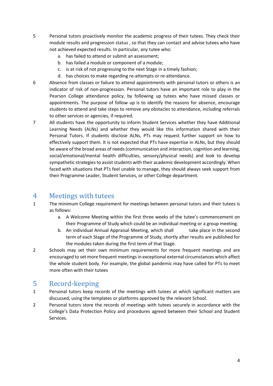- 5 Personal tutors proactively monitor the academic progress of their tutees. They check their module results and progression status , so that they can contact and advise tutees who have not achieved expected results. In particular, any tutee who:
	- a. has failed to attend or submit an assessment;
	- b. has failed a module or component of a module;
	- c. is at risk of not progressing to the next Stage in a timely fashion;
	- d. has choices to make regarding re-attempts or re-attendance.
- 6 Absence from classes or failure to attend appointments with personal tutors or others is an indicator of risk of non-progression. Personal tutors have an important role to play in the Pearson College attendance policy, by following up tutees who have missed classes or appointments. The purpose of follow up is to identify the reasons for absence, encourage students to attend and take steps to remove any obstacles to attendance, including referrals to other services or agencies, if required.
- 7 All students have the opportunity to inform Student Services whether they have Additional Learning Needs (ALNs) and whether they would like this information shared with their Personal Tutors. If students disclose ALNs, PTs may request further support on how to effectively support them. It is not expected that PTs have expertise in ALNs, but they should be aware of the broad areas of needs (communication and interaction, cognition and learning, social/emotional/mental health difficulties, sensory/physical needs) and look to develop sympathetic strategies to assist students with their academic development accordingly. When faced with situations that PTs feel unable to manage, they should always seek support from their Programme Leader, Student Services, or other College department.

### <span id="page-3-0"></span>4 Meetings with tutees<br>1 The minimum College requirem

- 1 The minimum College requirement for meetings between personal tutors and their tutees is as follows:
	- a. A Welcome Meeting within the first three weeks of the tutee's commencement on their Programme of Study which could be an individual meeting or a group meeting.
	- b. An individual Annual Appraisal Meeting, which shall take place in the second term of each Stage of the Programme of Study, shortly after results are published for the modules taken during the first term of that Stage.
- 2 Schools may set their own minimum requirements for more frequent meetings and are encouraged to set more frequent meetings in exceptional external circumstances which affect the whole student body. For example, the global pandemic may have called for PTs to meet more often with their tutees

### <span id="page-3-1"></span>5 Record-keeping<br>1 Personal tutors keep re

- Personal tutors keep records of the meetings with tutees at which significant matters are discussed, using the templates or platforms approved by the relevant School.
- 2 Personal tutors store the records of meetings with tutees securely in accordance with the College's Data Protection Policy and procedures agreed between their School and Student Services.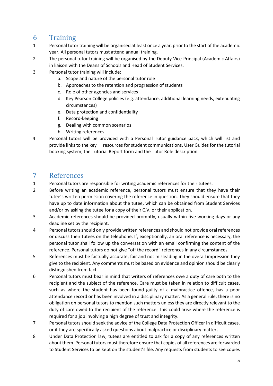### <span id="page-4-0"></span>6 Training

- Personal tutor training will be organised at least once a year, prior to the start of the academic year. All personal tutors must attend annual training.
- 2 The personal tutor training will be organised by the Deputy Vice-Principal (Academic Affairs) in liaison with the Deans of Schools and Head of Student Services.
- 3 Personal tutor training will include:
	- a. Scope and nature of the personal tutor role
	- b. Approaches to the retention and progression of students
	- c. Role of other agencies and services
	- d. Key Pearson College policies (e.g. attendance, additional learning needs, extenuating circumstances)
	- e. Data protection and confidentiality
	- f. Record-keeping
	- g. Dealing with common scenarios
	- h. Writing references
- 4 Personal tutors will be provided with a Personal Tutor guidance pack, which will list and provide links to the key resources for student communications, User Guides for the tutorial booking system, the Tutorial Report form and the Tutor Role description.

#### <span id="page-4-1"></span>7 References<br>1 Personal tutors a

- Personal tutors are responsible for writing academic references for their tutees.
- 2 Before writing an academic reference, personal tutors must ensure that they have their tutee's written permission covering the reference in question. They should ensure that they have up to date information about the tutee, which can be obtained from Student Services and/or by asking the tutee for a copy of their C.V. or their application.
- 3 Academic references should be provided promptly, usually within five working days or any deadline set by the recipient.
- 4 Personal tutors should only provide written references and should not provide oral references or discuss their tutees on the telephone. If, exceptionally, an oral reference is necessary, the personal tutor shall follow up the conversation with an email confirming the content of the reference. Personal tutors do not give "off the record" references in any circumstances.
- 5 References must be factually accurate, fair and not misleading in the overall impression they give to the recipient. Any comments must be based on evidence and opinion should be clearly distinguished from fact.
- 6 Personal tutors must bear in mind that writers of references owe a duty of care both to the recipient and the subject of the reference. Care must be taken in relation to difficult cases, such as where the student has been found guilty of a malpractice offence, has a poor attendance record or has been involved in a disciplinary matter. As a general rule, there is no obligation on personal tutors to mention such matters unless they are directly relevant to the duty of care owed to the recipient of the reference. This could arise where the reference is required for a job involving a high degree of trust and integrity.
- 7 Personal tutors should seek the advice of the College Data Protection Officer in difficult cases, or if they are specifically asked questions about malpractice or disciplinary matters.
- 8 Under Data Protection law, tutees are entitled to ask for a copy of any references written about them. Personal tutors must therefore ensure that copies of all references are forwarded to Student Services to be kept on the student's file. Any requests from students to see copies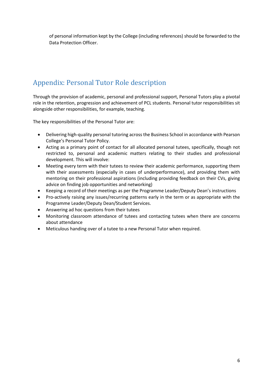of personal information kept by the College (including references) should be forwarded to the Data Protection Officer.

#### <span id="page-5-0"></span>Appendix: Personal Tutor Role description

Through the provision of academic, personal and professional support, Personal Tutors play a pivotal role in the retention, progression and achievement of PCL students. Personal tutor responsibilities sit alongside other responsibilities, for example, teaching.

The key responsibilities of the Personal Tutor are:

- Delivering high-quality personal tutoring across the Business School in accordance with Pearson College's Personal Tutor Policy.
- Acting as a primary point of contact for all allocated personal tutees, specifically, though not restricted to, personal and academic matters relating to their studies and professional development. This will involve:
- Meeting every term with their tutees to review their academic performance, supporting them with their assessments (especially in cases of underperformance), and providing them with mentoring on their professional aspirations (including providing feedback on their CVs, giving advice on finding job opportunities and networking)
- Keeping a record of their meetings as per the Programme Leader/Deputy Dean's instructions
- Pro-actively raising any issues/recurring patterns early in the term or as appropriate with the Programme Leader/Deputy Dean/Student Services.
- Answering ad hoc questions from their tutees
- Monitoring classroom attendance of tutees and contacting tutees when there are concerns about attendance
- Meticulous handing over of a tutee to a new Personal Tutor when required.